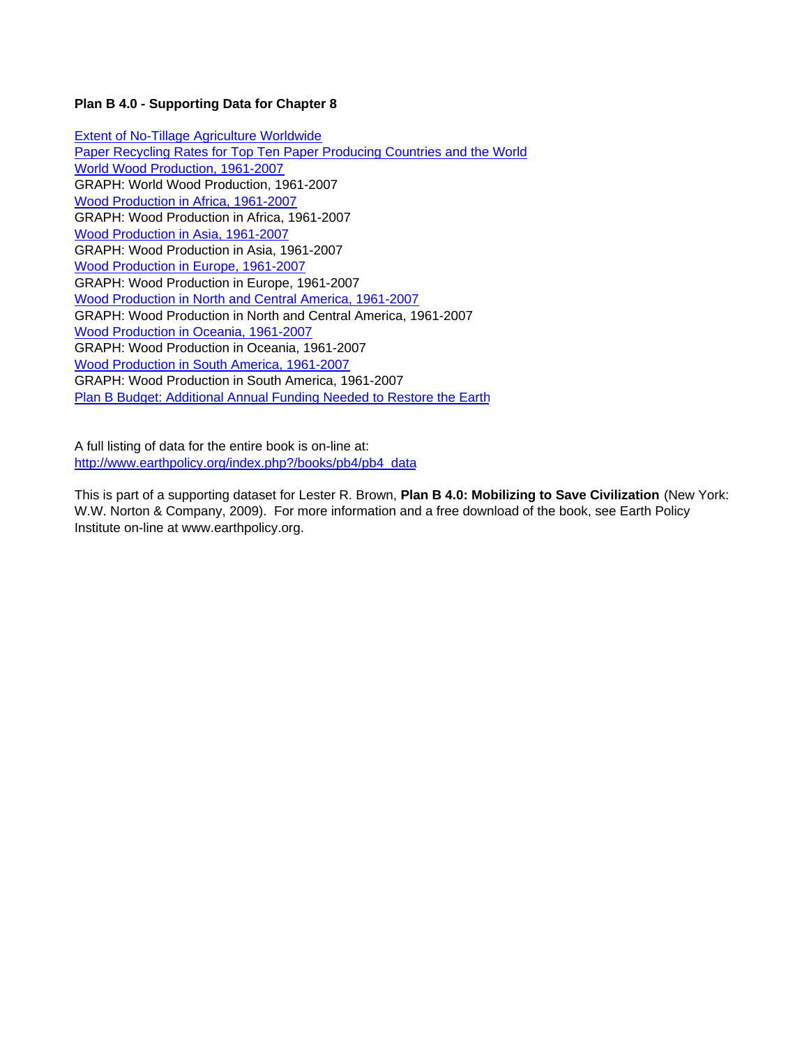# **Plan B 4.0 - Supporting Data for Chapter 8**

Extent of No-Tillage Agriculture Worldwide Paper Recycling Rates for Top Ten Paper Producing Countries and the World World Wood Production, 1961-2007 GRAPH: World Wood Production, 1961-2007 Wood Production in Africa, 1961-2007 GRAPH: Wood Production in Africa, 1961-2007 Wood Production in Asia, 1961-2007 GRAPH: Wood Production in Asia, 1961-2007 Wood Production in Europe, 1961-2007 GRAPH: Wood Production in Europe, 1961-2007 Wood Production in North and Central America, 1961-2007 GRAPH: Wood Production in North and Central America, 1961-2007 Wood Production in Oceania, 1961-2007 GRAPH: Wood Production in Oceania, 1961-2007 Wood Production in South America, 1961-2007 GRAPH: Wood Production in South America, 1961-2007 Plan B Budget: Additional Annual Funding Needed to Restore the Earth

A full listing of data for the entire book is on-line at: http://www.earthpolicy.org/index.php?/books/pb4/pb4\_data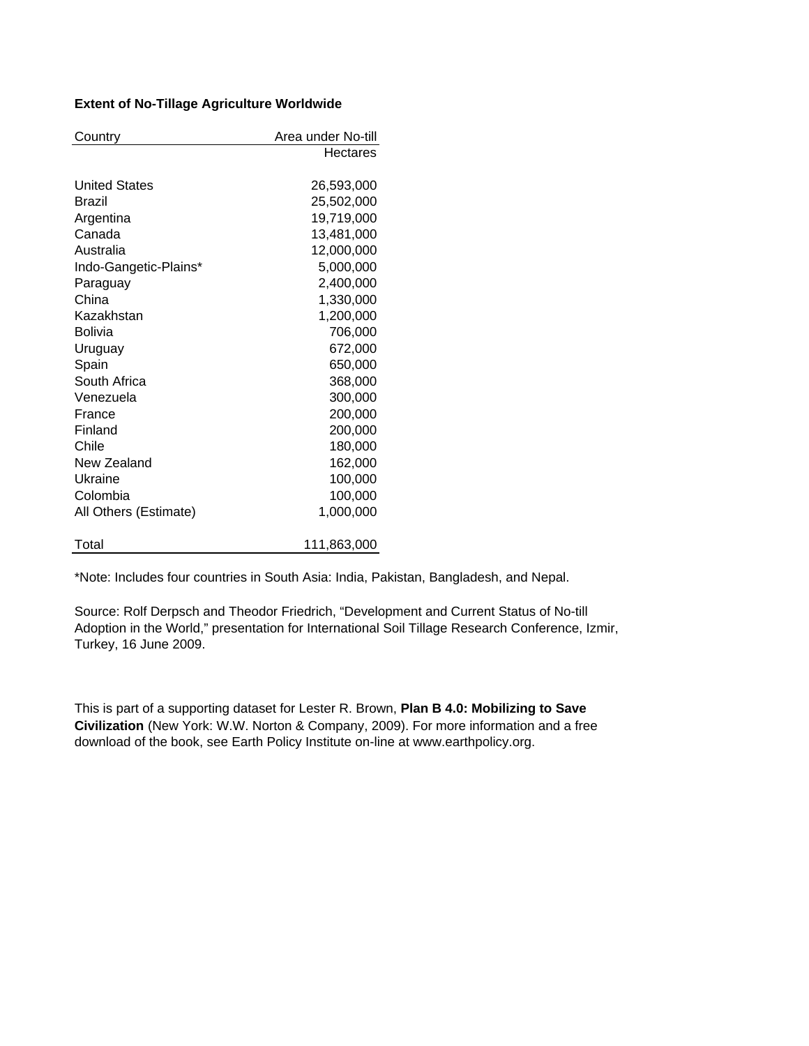# **Extent of No-Tillage Agriculture Worldwide**

| Country               | Area under No-till |
|-----------------------|--------------------|
|                       | Hectares           |
|                       |                    |
| <b>United States</b>  | 26,593,000         |
| Brazil                | 25,502,000         |
| Argentina             | 19,719,000         |
| Canada                | 13,481,000         |
| Australia             | 12,000,000         |
| Indo-Gangetic-Plains* | 5,000,000          |
| Paraguay              | 2,400,000          |
| China                 | 1,330,000          |
| Kazakhstan            | 1,200,000          |
| <b>Bolivia</b>        | 706,000            |
| Uruguay               | 672,000            |
| Spain                 | 650,000            |
| South Africa          | 368,000            |
| Venezuela             | 300,000            |
| France                | 200,000            |
| Finland               | 200,000            |
| Chile                 | 180,000            |
| New Zealand           | 162,000            |
| Ukraine               | 100,000            |
| Colombia              | 100,000            |
| All Others (Estimate) | 1,000,000          |
|                       |                    |
| Total                 | 111,863,000        |

\*Note: Includes four countries in South Asia: India, Pakistan, Bangladesh, and Nepal.

Source: Rolf Derpsch and Theodor Friedrich, "Development and Current Status of No-till Adoption in the World," presentation for International Soil Tillage Research Conference, Izmir, Turkey, 16 June 2009.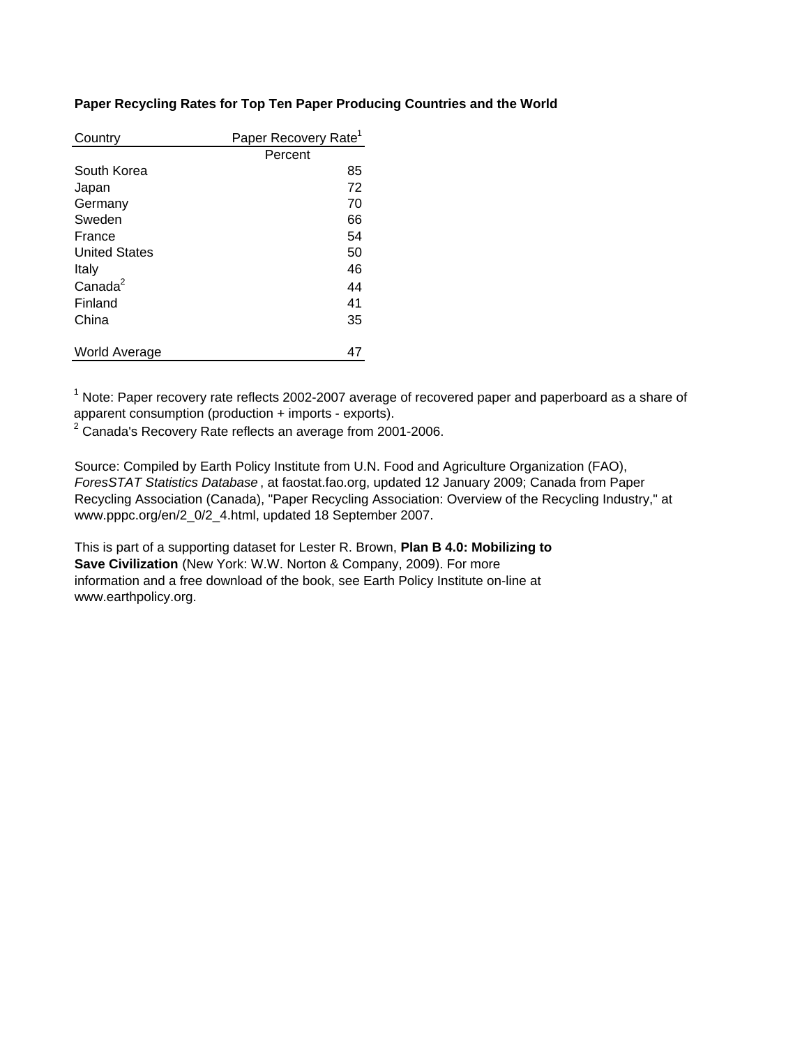# **Paper Recycling Rates for Top Ten Paper Producing Countries and the World**

| Country              | Paper Recovery Rate <sup>1</sup> |
|----------------------|----------------------------------|
|                      | Percent                          |
| South Korea          | 85                               |
| Japan                | 72                               |
| Germany              | 70                               |
| Sweden               | 66                               |
| France               | 54                               |
| <b>United States</b> | 50                               |
| Italy                | 46                               |
| Canada <sup>2</sup>  | 44                               |
| Finland              | 41                               |
| China                | 35                               |
|                      |                                  |
| World Average        | 47                               |

 $1$  Note: Paper recovery rate reflects 2002-2007 average of recovered paper and paperboard as a share of apparent consumption (production + imports - exports).

 $2$  Canada's Recovery Rate reflects an average from 2001-2006.

Source: Compiled by Earth Policy Institute from U.N. Food and Agriculture Organization (FAO), *ForesSTAT Statistics Database* , at faostat.fao.org, updated 12 January 2009; Canada from Paper Recycling Association (Canada), "Paper Recycling Association: Overview of the Recycling Industry," at www.pppc.org/en/2\_0/2\_4.html, updated 18 September 2007.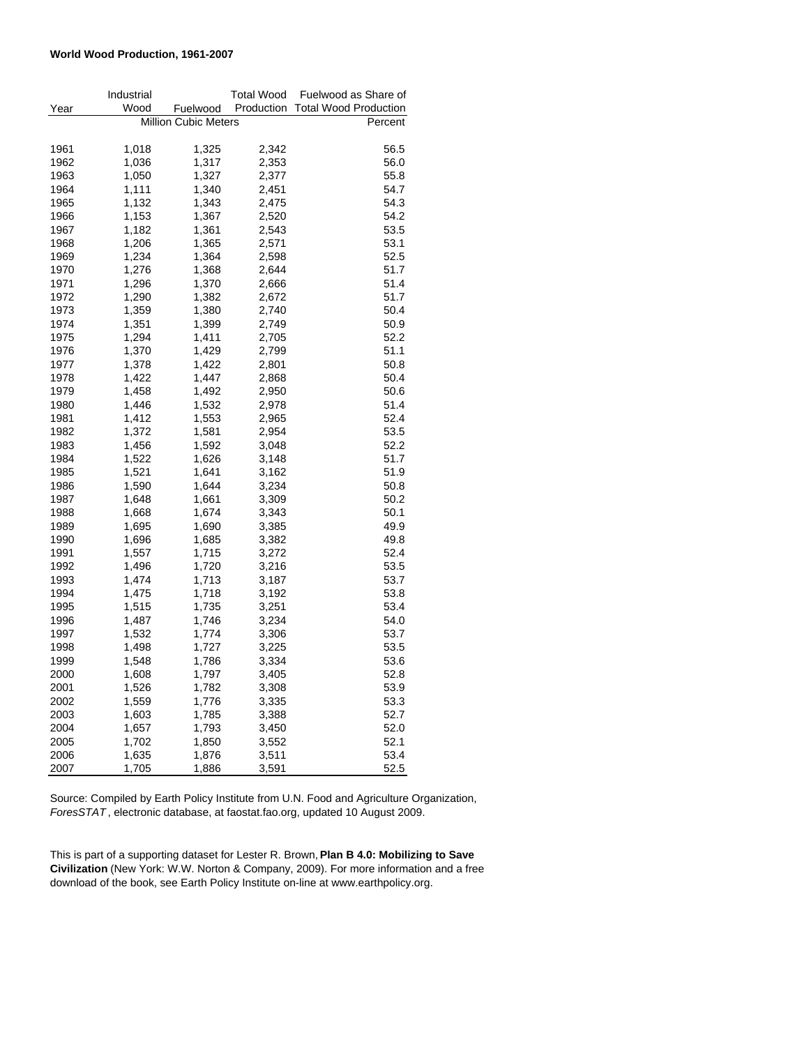#### **World Wood Production, 1961-2007**

|      | Industrial |                             | <b>Total Wood</b> | Fuelwood as Share of         |
|------|------------|-----------------------------|-------------------|------------------------------|
| Year | Wood       | Fuelwood                    | Production        | <b>Total Wood Production</b> |
|      |            | <b>Million Cubic Meters</b> |                   | Percent                      |
|      |            |                             |                   |                              |
| 1961 | 1,018      | 1,325                       | 2,342             | 56.5                         |
| 1962 | 1,036      | 1,317                       | 2,353             | 56.0                         |
| 1963 | 1,050      | 1,327                       | 2,377             | 55.8                         |
| 1964 | 1,111      | 1,340                       | 2,451             | 54.7                         |
| 1965 | 1,132      | 1,343                       | 2,475             | 54.3                         |
| 1966 | 1,153      | 1,367                       | 2,520             | 54.2                         |
| 1967 | 1,182      | 1,361                       | 2,543             | 53.5                         |
| 1968 | 1,206      | 1,365                       | 2,571             | 53.1                         |
| 1969 | 1,234      | 1,364                       | 2,598             | 52.5                         |
| 1970 | 1,276      | 1,368                       | 2,644             | 51.7                         |
| 1971 | 1,296      | 1,370                       | 2,666             | 51.4                         |
| 1972 | 1,290      | 1,382                       | 2,672             | 51.7                         |
| 1973 | 1,359      | 1,380                       | 2,740             | 50.4                         |
| 1974 | 1,351      | 1,399                       | 2,749             | 50.9                         |
| 1975 | 1,294      | 1,411                       | 2,705             | 52.2                         |
| 1976 | 1,370      | 1,429                       | 2,799             | 51.1                         |
| 1977 | 1,378      | 1,422                       | 2,801             | 50.8                         |
| 1978 | 1,422      | 1,447                       | 2,868             | 50.4                         |
| 1979 | 1,458      | 1,492                       | 2,950             | 50.6                         |
| 1980 | 1,446      | 1,532                       | 2,978             | 51.4                         |
| 1981 | 1,412      | 1,553                       | 2,965             | 52.4                         |
| 1982 | 1,372      | 1,581                       | 2,954             | 53.5                         |
| 1983 | 1,456      | 1,592                       | 3,048             | 52.2                         |
| 1984 | 1,522      | 1,626                       | 3,148             | 51.7                         |
| 1985 | 1,521      | 1,641                       | 3,162             | 51.9                         |
| 1986 | 1,590      | 1,644                       | 3,234             | 50.8                         |
| 1987 | 1,648      | 1,661                       | 3,309             | 50.2                         |
| 1988 | 1,668      | 1,674                       | 3,343             | 50.1                         |
| 1989 | 1,695      | 1,690                       | 3,385             | 49.9                         |
| 1990 | 1,696      | 1,685                       | 3,382             | 49.8                         |
| 1991 | 1,557      | 1,715                       | 3,272             | 52.4                         |
| 1992 | 1,496      | 1,720                       | 3,216             | 53.5                         |
| 1993 | 1,474      | 1,713                       | 3,187             | 53.7                         |
| 1994 | 1,475      | 1,718                       | 3,192             | 53.8                         |
| 1995 | 1,515      | 1,735                       | 3,251             | 53.4                         |
| 1996 | 1,487      | 1,746                       | 3,234             | 54.0                         |
| 1997 | 1,532      | 1,774                       | 3,306             | 53.7                         |
| 1998 | 1,498      | 1,727                       | 3,225             | 53.5                         |
| 1999 | 1,548      | 1,786                       | 3,334             | 53.6                         |
| 2000 | 1,608      | 1,797                       | 3,405             | 52.8                         |
| 2001 | 1,526      | 1,782                       | 3,308             | 53.9                         |
| 2002 | 1,559      | 1,776                       | 3,335             | 53.3                         |
| 2003 | 1,603      | 1,785                       | 3,388             | 52.7                         |
| 2004 | 1,657      | 1,793                       | 3,450             | 52.0                         |
| 2005 | 1,702      | 1,850                       | 3,552             | 52.1                         |
| 2006 | 1,635      | 1,876                       | 3,511             | 53.4                         |
| 2007 | 1,705      | 1,886                       | 3,591             | 52.5                         |

Source: Compiled by Earth Policy Institute from U.N. Food and Agriculture Organization, *ForesSTAT* , electronic database, at faostat.fao.org, updated 10 August 2009.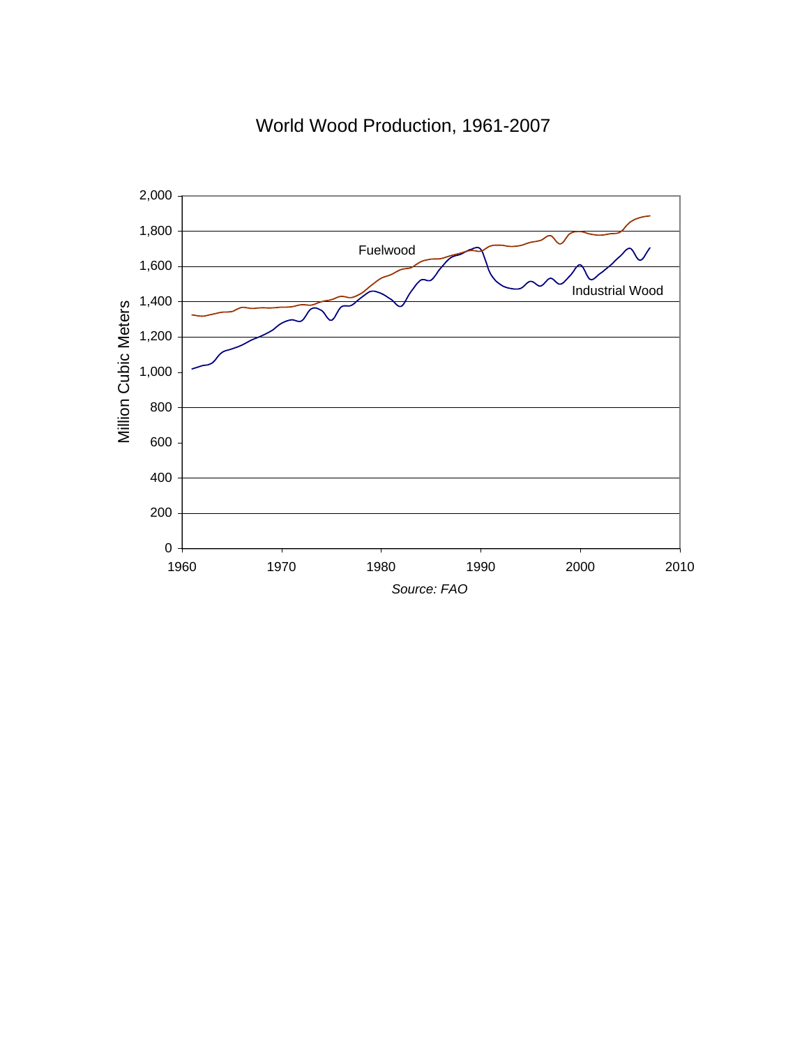

World Wood Production, 1961-2007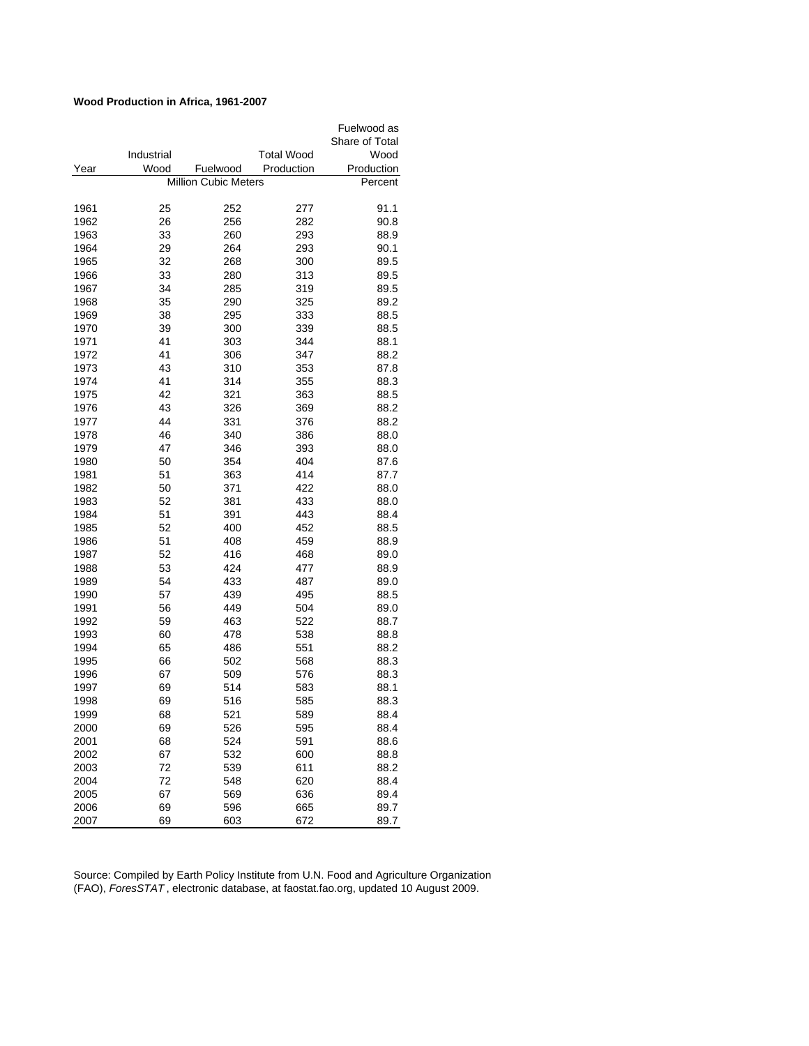## **Wood Production in Africa, 1961-2007**

|      |            |                             |            | Fuelwood as    |
|------|------------|-----------------------------|------------|----------------|
|      |            |                             |            | Share of Total |
|      | Industrial |                             | Total Wood | Wood           |
| Year | Wood       | Fuelwood                    | Production | Production     |
|      |            | <b>Million Cubic Meters</b> |            | Percent        |
|      |            |                             |            |                |
| 1961 | 25         | 252                         | 277        | 91.1           |
| 1962 | 26         | 256                         | 282        | 90.8           |
| 1963 | 33         | 260                         | 293        | 88.9           |
| 1964 | 29         | 264                         | 293        | 90.1           |
| 1965 | 32         | 268                         | 300        | 89.5           |
| 1966 | 33         | 280                         | 313        | 89.5           |
| 1967 | 34         | 285                         | 319        | 89.5           |
| 1968 | 35         | 290                         | 325        | 89.2           |
| 1969 | 38         | 295                         | 333        | 88.5           |
| 1970 | 39         | 300                         | 339        | 88.5           |
| 1971 | 41         | 303                         | 344        | 88.1           |
| 1972 | 41         | 306                         | 347        | 88.2           |
| 1973 | 43         | 310                         | 353        | 87.8           |
| 1974 | 41         | 314                         | 355        | 88.3           |
| 1975 | 42         | 321                         | 363        | 88.5           |
| 1976 | 43         | 326                         | 369        | 88.2           |
| 1977 | 44         | 331                         | 376        | 88.2           |
| 1978 | 46         | 340                         | 386        | 88.0           |
| 1979 | 47         | 346                         | 393        | 88.0           |
| 1980 | 50         | 354                         | 404        | 87.6           |
| 1981 | 51         | 363                         | 414        | 87.7           |
| 1982 | 50         | 371                         | 422        | 88.0           |
| 1983 | 52         | 381                         | 433        | 88.0           |
| 1984 | 51         | 391                         | 443        | 88.4           |
| 1985 | 52         | 400                         | 452        | 88.5           |
| 1986 | 51         | 408                         | 459        | 88.9           |
| 1987 | 52         | 416                         | 468        | 89.0           |
| 1988 | 53         | 424                         | 477        | 88.9           |
| 1989 | 54         | 433                         | 487        | 89.0           |
| 1990 | 57         | 439                         | 495        | 88.5           |
| 1991 | 56         | 449                         | 504        | 89.0           |
| 1992 | 59         | 463                         | 522        | 88.7           |
| 1993 | 60         | 478                         | 538        | 88.8           |
| 1994 | 65         | 486                         | 551        | 88.2           |
| 1995 | 66         | 502                         | 568        | 88.3           |
| 1996 | 67         | 509                         | 576        | 88.3           |
| 1997 | 69         | 514                         | 583        | 88.1           |
| 1998 | 69         | 516                         | 585        | 88.3           |
| 1999 | 68         | 521                         | 589        | 88.4           |
| 2000 | 69         | 526                         | 595        | 88.4           |
| 2001 | 68         | 524                         | 591        | 88.6           |
| 2002 | 67         | 532                         | 600        | 88.8           |
| 2003 | 72         | 539                         | 611        | 88.2           |
| 2004 | 72         | 548                         | 620        | 88.4           |
| 2005 | 67         | 569                         | 636        | 89.4           |
| 2006 | 69         | 596                         | 665        | 89.7           |
| 2007 | 69         | 603                         | 672        | 89.7           |
|      |            |                             |            |                |

Source: Compiled by Earth Policy Institute from U.N. Food and Agriculture Organization (FAO), *ForesSTAT* , electronic database, at faostat.fao.org, updated 10 August 2009.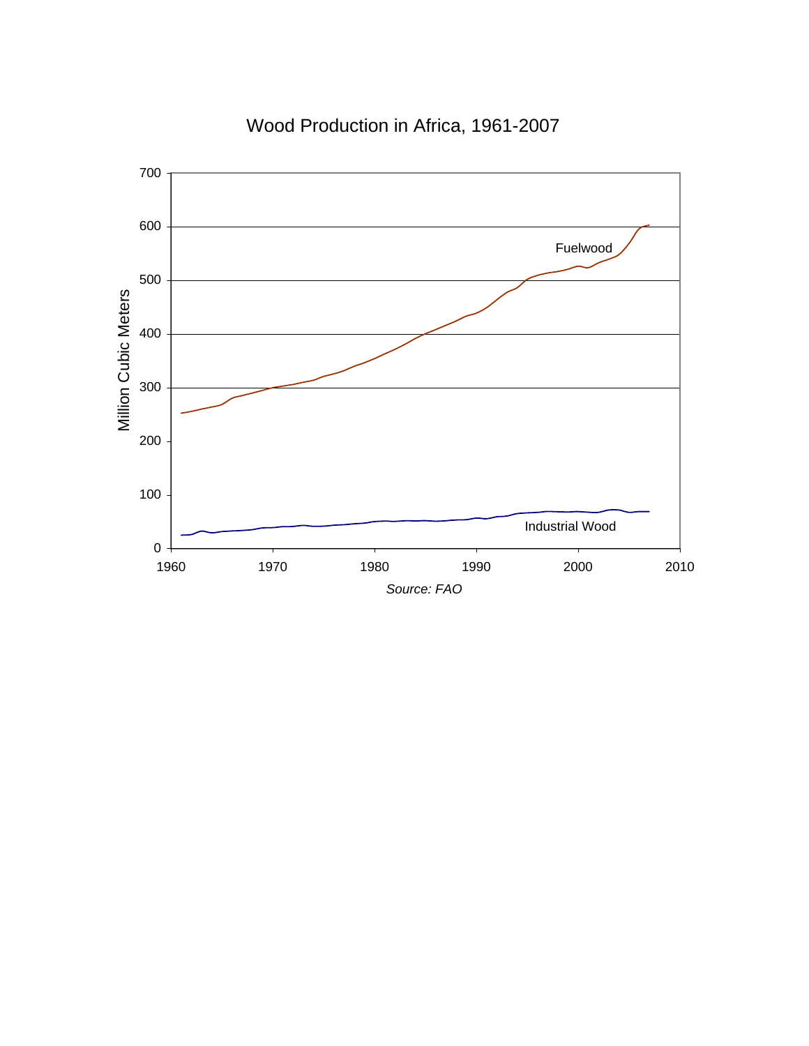

# Wood Production in Africa, 1961-2007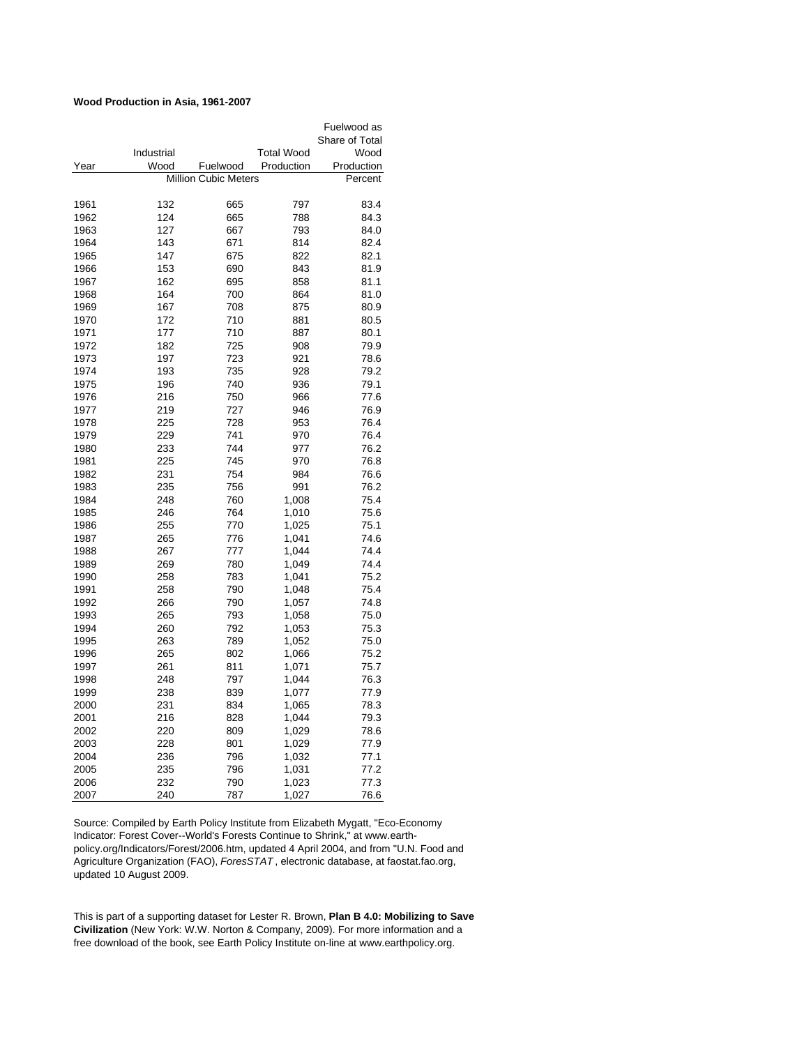## **Wood Production in Asia, 1961-2007**

|      |            |                             |                   | Fuelwood as    |
|------|------------|-----------------------------|-------------------|----------------|
|      |            |                             |                   | Share of Total |
|      | Industrial |                             | <b>Total Wood</b> | Wood           |
| Year | Wood       | Fuelwood                    | Production        | Production     |
|      |            | <b>Million Cubic Meters</b> |                   | Percent        |
|      |            |                             |                   |                |
| 1961 | 132        | 665                         | 797               | 83.4           |
| 1962 | 124        | 665                         | 788               | 84.3           |
| 1963 | 127        | 667                         | 793               | 84.0           |
| 1964 | 143        | 671                         | 814               | 82.4           |
| 1965 | 147        | 675                         | 822               | 82.1           |
| 1966 | 153        | 690                         | 843               | 81.9           |
| 1967 | 162        | 695                         | 858               | 81.1           |
| 1968 | 164        | 700                         | 864               | 81.0           |
| 1969 | 167        | 708                         | 875               | 80.9           |
| 1970 | 172        | 710                         | 881               | 80.5           |
| 1971 | 177        | 710                         | 887               | 80.1           |
| 1972 | 182        | 725                         | 908               | 79.9           |
| 1973 | 197        | 723                         | 921               | 78.6           |
| 1974 | 193        | 735                         | 928               | 79.2           |
| 1975 | 196        | 740                         | 936               | 79.1           |
| 1976 | 216        | 750                         | 966               | 77.6           |
| 1977 | 219        | 727                         | 946               | 76.9           |
| 1978 | 225        | 728                         | 953               | 76.4           |
| 1979 | 229        | 741                         | 970               | 76.4           |
| 1980 | 233        | 744                         | 977               | 76.2           |
| 1981 | 225        | 745                         | 970               | 76.8           |
| 1982 | 231        | 754                         | 984               | 76.6           |
| 1983 | 235        | 756                         | 991               | 76.2           |
| 1984 | 248        | 760                         | 1,008             | 75.4           |
| 1985 | 246        | 764                         | 1,010             | 75.6           |
| 1986 | 255        | 770                         | 1,025             | 75.1           |
| 1987 | 265        | 776                         | 1,041             | 74.6           |
| 1988 | 267        | 777                         | 1,044             | 74.4           |
| 1989 | 269        | 780                         |                   | 74.4           |
| 1990 | 258        | 783                         | 1,049<br>1,041    | 75.2           |
|      |            |                             |                   |                |
| 1991 | 258        | 790                         | 1,048             | 75.4           |
| 1992 | 266        | 790                         | 1,057             | 74.8           |
| 1993 | 265        | 793                         | 1,058             | 75.0           |
| 1994 | 260        | 792                         | 1,053             | 75.3           |
| 1995 | 263        | 789                         | 1,052             | 75.0           |
| 1996 | 265        | 802                         | 1,066             | 75.2           |
| 1997 | 261        | 811                         | 1,071             | 75.7           |
| 1998 | 248        | 797                         | 1,044             | 76.3           |
| 1999 | 238        | 839                         | 1,077             | 77.9           |
| 2000 | 231        | 834                         | 1,065             | 78.3           |
| 2001 | 216        | 828                         | 1,044             | 79.3           |
| 2002 | 220        | 809                         | 1,029             | 78.6           |
| 2003 | 228        | 801                         | 1,029             | 77.9           |
| 2004 | 236        | 796                         | 1,032             | 77.1           |
| 2005 | 235        | 796                         | 1,031             | 77.2           |
| 2006 | 232        | 790                         | 1,023             | 77.3           |
| 2007 | 240        | 787                         | 1,027             | 76.6           |

Source: Compiled by Earth Policy Institute from Elizabeth Mygatt, "Eco-Economy Indicator: Forest Cover--World's Forests Continue to Shrink," at www.earthpolicy.org/Indicators/Forest/2006.htm, updated 4 April 2004, and from "U.N. Food and Agriculture Organization (FAO), *ForesSTAT* , electronic database, at faostat.fao.org, updated 10 August 2009.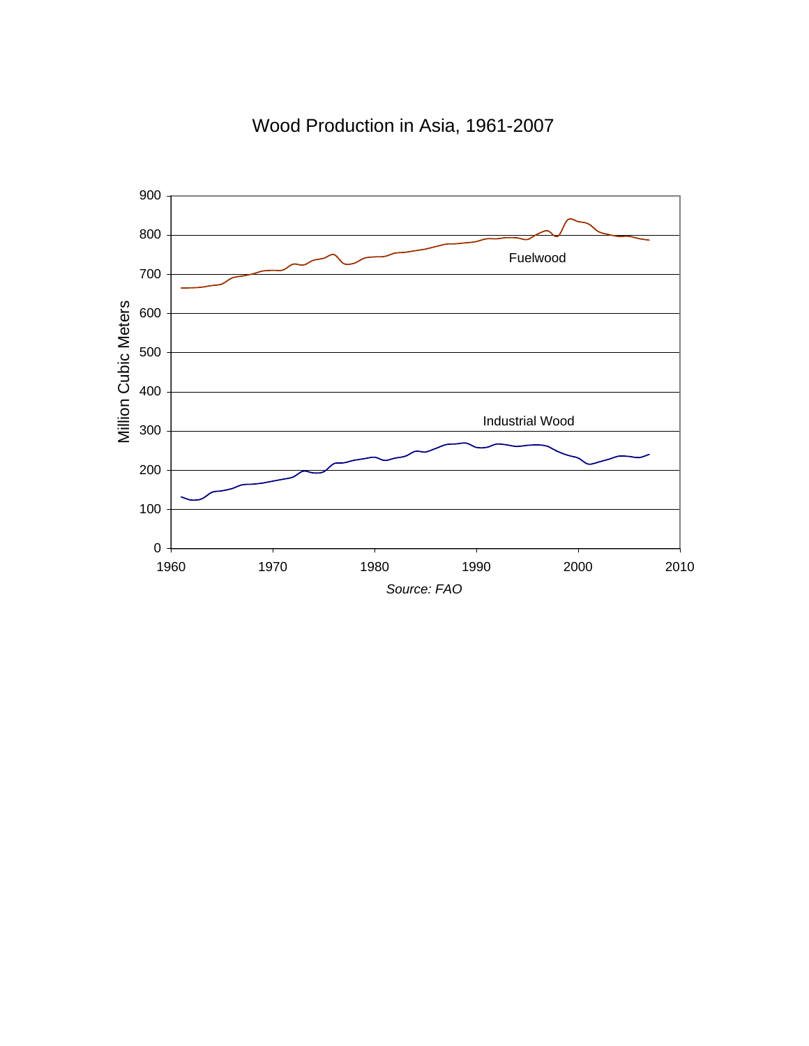

Wood Production in Asia, 1961-2007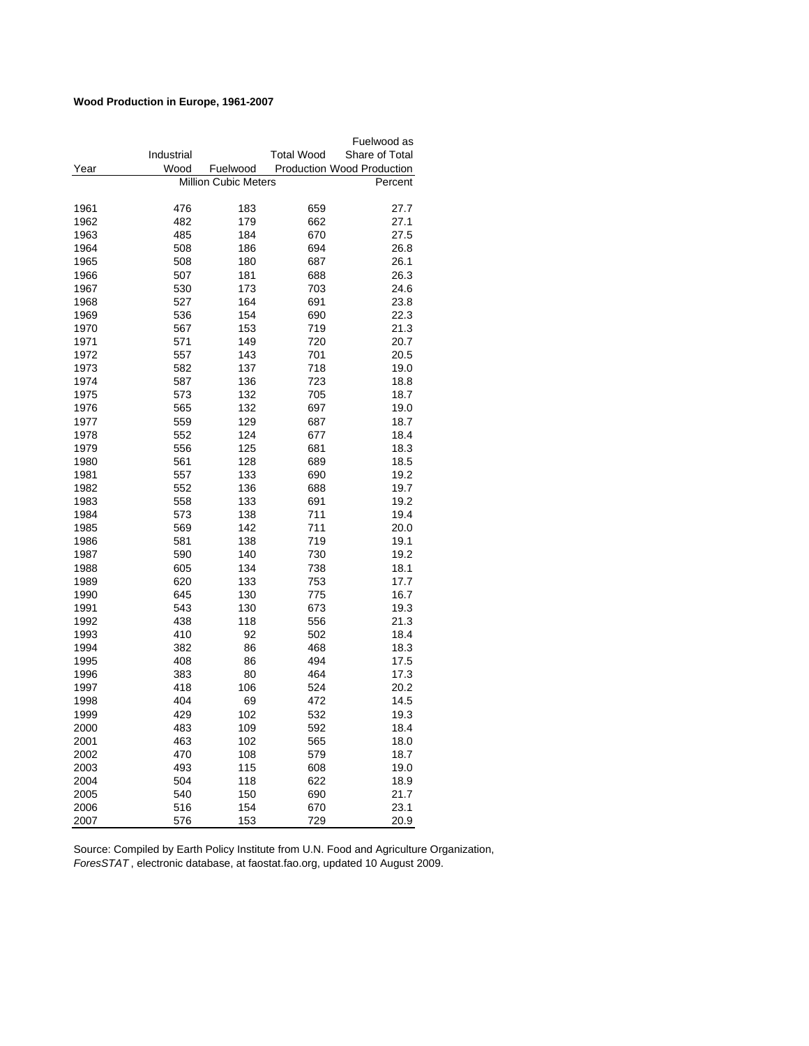# **Wood Production in Europe, 1961-2007**

|      |                                        |          |                   | Fuelwood as                |  |
|------|----------------------------------------|----------|-------------------|----------------------------|--|
|      | Industrial                             |          | <b>Total Wood</b> | Share of Total             |  |
| Year | Wood                                   | Fuelwood |                   | Production Wood Production |  |
|      | <b>Million Cubic Meters</b><br>Percent |          |                   |                            |  |
|      |                                        |          |                   |                            |  |
| 1961 | 476                                    | 183      | 659               | 27.7                       |  |
| 1962 | 482                                    | 179      | 662               | 27.1                       |  |
| 1963 | 485                                    | 184      | 670               | 27.5                       |  |
| 1964 | 508                                    | 186      | 694               | 26.8                       |  |
| 1965 | 508                                    | 180      | 687               | 26.1                       |  |
| 1966 | 507                                    | 181      | 688               | 26.3                       |  |
| 1967 | 530                                    | 173      | 703               | 24.6                       |  |
| 1968 | 527                                    | 164      | 691               | 23.8                       |  |
| 1969 | 536                                    | 154      | 690               | 22.3                       |  |
| 1970 | 567                                    | 153      | 719               | 21.3                       |  |
| 1971 | 571                                    | 149      | 720               | 20.7                       |  |
| 1972 | 557                                    | 143      | 701               | 20.5                       |  |
| 1973 | 582                                    | 137      | 718               | 19.0                       |  |
| 1974 | 587                                    | 136      | 723               | 18.8                       |  |
| 1975 | 573                                    | 132      | 705               | 18.7                       |  |
| 1976 | 565                                    | 132      | 697               | 19.0                       |  |
| 1977 | 559                                    | 129      | 687               | 18.7                       |  |
| 1978 | 552                                    | 124      | 677               | 18.4                       |  |
| 1979 | 556                                    | 125      | 681               | 18.3                       |  |
| 1980 | 561                                    | 128      | 689               | 18.5                       |  |
| 1981 | 557                                    | 133      | 690               | 19.2                       |  |
| 1982 | 552                                    | 136      | 688               | 19.7                       |  |
| 1983 | 558                                    | 133      | 691               | 19.2                       |  |
| 1984 | 573                                    | 138      | 711               | 19.4                       |  |
| 1985 | 569                                    | 142      | 711               | 20.0                       |  |
| 1986 | 581                                    | 138      | 719               | 19.1                       |  |
| 1987 | 590                                    | 140      | 730               | 19.2                       |  |
| 1988 | 605                                    | 134      | 738               | 18.1                       |  |
| 1989 | 620                                    | 133      | 753               | 17.7                       |  |
| 1990 | 645                                    | 130      | 775               | 16.7                       |  |
| 1991 | 543                                    | 130      | 673               | 19.3                       |  |
| 1992 | 438                                    | 118      | 556               | 21.3                       |  |
| 1993 | 410                                    | 92       | 502               | 18.4                       |  |
| 1994 | 382                                    | 86       | 468               | 18.3                       |  |
| 1995 | 408                                    | 86       | 494               | 17.5                       |  |
| 1996 | 383                                    | 80       | 464               | 17.3                       |  |
| 1997 | 418                                    | 106      | 524               | 20.2                       |  |
| 1998 | 404                                    | 69       | 472               | 14.5                       |  |
| 1999 | 429                                    | 102      | 532               | 19.3                       |  |
| 2000 | 483                                    | 109      | 592               | 18.4                       |  |
| 2001 | 463                                    | 102      | 565               | 18.0                       |  |
| 2002 | 470                                    | 108      | 579               | 18.7                       |  |
| 2003 | 493                                    | 115      | 608               | 19.0                       |  |
| 2004 | 504                                    | 118      | 622               | 18.9                       |  |
| 2005 | 540                                    | 150      | 690               | 21.7                       |  |
| 2006 | 516                                    | 154      | 670               | 23.1                       |  |
| 2007 | 576                                    | 153      | 729               | 20.9                       |  |

Source: Compiled by Earth Policy Institute from U.N. Food and Agriculture Organization, *ForesSTAT* , electronic database, at faostat.fao.org, updated 10 August 2009.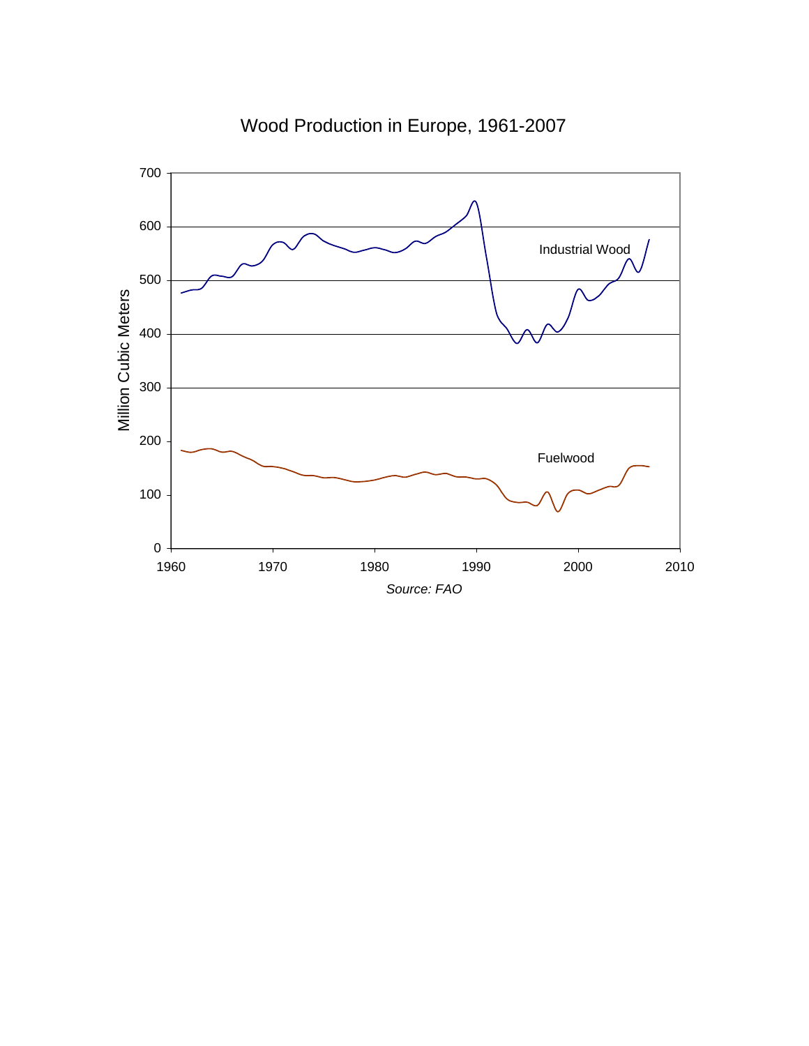

Wood Production in Europe, 1961-2007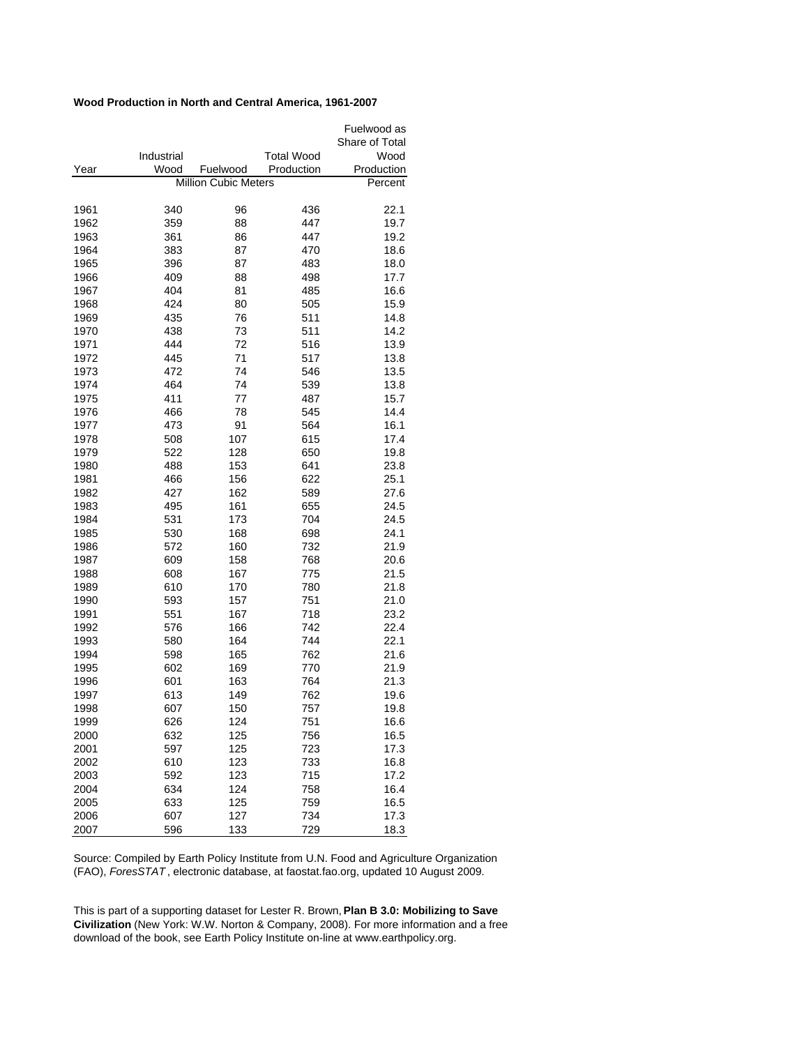## **Wood Production in North and Central America, 1961-2007**

|      |            |                             |                   | Fuelwood as    |
|------|------------|-----------------------------|-------------------|----------------|
|      |            |                             |                   | Share of Total |
|      | Industrial |                             | <b>Total Wood</b> | Wood           |
| Year | Wood       | Fuelwood                    | Production        | Production     |
|      |            | <b>Million Cubic Meters</b> |                   | Percent        |
| 1961 | 340        | 96                          | 436               | 22.1           |
| 1962 | 359        | 88                          | 447               | 19.7           |
| 1963 | 361        | 86                          | 447               | 19.2           |
| 1964 | 383        | 87                          | 470               | 18.6           |
| 1965 | 396        | 87                          | 483               | 18.0           |
| 1966 | 409        | 88                          | 498               | 17.7           |
| 1967 | 404        | 81                          | 485               | 16.6           |
| 1968 | 424        | 80                          | 505               | 15.9           |
| 1969 | 435        | 76                          | 511               | 14.8           |
| 1970 | 438        | 73                          | 511               | 14.2           |
| 1971 | 444        | 72                          | 516               | 13.9           |
| 1972 | 445        | 71                          | 517               | 13.8           |
| 1973 | 472        | 74                          | 546               | 13.5           |
| 1974 | 464        | 74                          | 539               | 13.8           |
| 1975 | 411        | 77                          | 487               | 15.7           |
| 1976 | 466        | 78                          | 545               | 14.4           |
| 1977 | 473        | 91                          | 564               | 16.1           |
| 1978 | 508        | 107                         | 615               | 17.4           |
| 1979 | 522        | 128                         | 650               | 19.8           |
| 1980 | 488        | 153                         | 641               | 23.8           |
| 1981 | 466        | 156                         | 622               | 25.1           |
| 1982 | 427        | 162                         | 589               | 27.6           |
| 1983 | 495        | 161                         | 655               | 24.5           |
| 1984 | 531        | 173                         | 704               | 24.5           |
| 1985 | 530        | 168                         | 698               | 24.1           |
| 1986 | 572        | 160                         | 732               | 21.9           |
| 1987 | 609        | 158                         | 768               | 20.6           |
| 1988 | 608        | 167                         | 775               | 21.5           |
| 1989 | 610        | 170                         | 780               | 21.8           |
| 1990 | 593        | 157                         | 751               | 21.0           |
| 1991 | 551        | 167                         | 718               | 23.2           |
| 1992 | 576        | 166                         | 742               | 22.4           |
| 1993 | 580        | 164                         | 744               | 22.1           |
| 1994 | 598        | 165                         | 762               | 21.6           |
| 1995 | 602        | 169                         | 770               | 21.9           |
| 1996 | 601        | 163                         | 764               | 21.3           |
| 1997 | 613        | 149                         | 762               | 19.6           |
| 1998 | 607        | 150                         | 757               | 19.8           |
| 1999 | 626        | 124                         | 751               | 16.6           |
| 2000 | 632        | 125                         | 756               | 16.5           |
| 2001 | 597        | 125                         | 723               | 17.3           |
| 2002 | 610        | 123                         | 733               | 16.8           |
| 2003 | 592        | 123                         | 715               | 17.2           |
| 2004 | 634        | 124                         | 758               | 16.4           |
| 2005 | 633        | 125                         | 759               | 16.5           |
| 2006 | 607        | 127                         | 734               | 17.3           |
| 2007 | 596        | 133                         | 729               | 18.3           |

Source: Compiled by Earth Policy Institute from U.N. Food and Agriculture Organization (FAO), *ForesSTAT* , electronic database, at faostat.fao.org, updated 10 August 2009.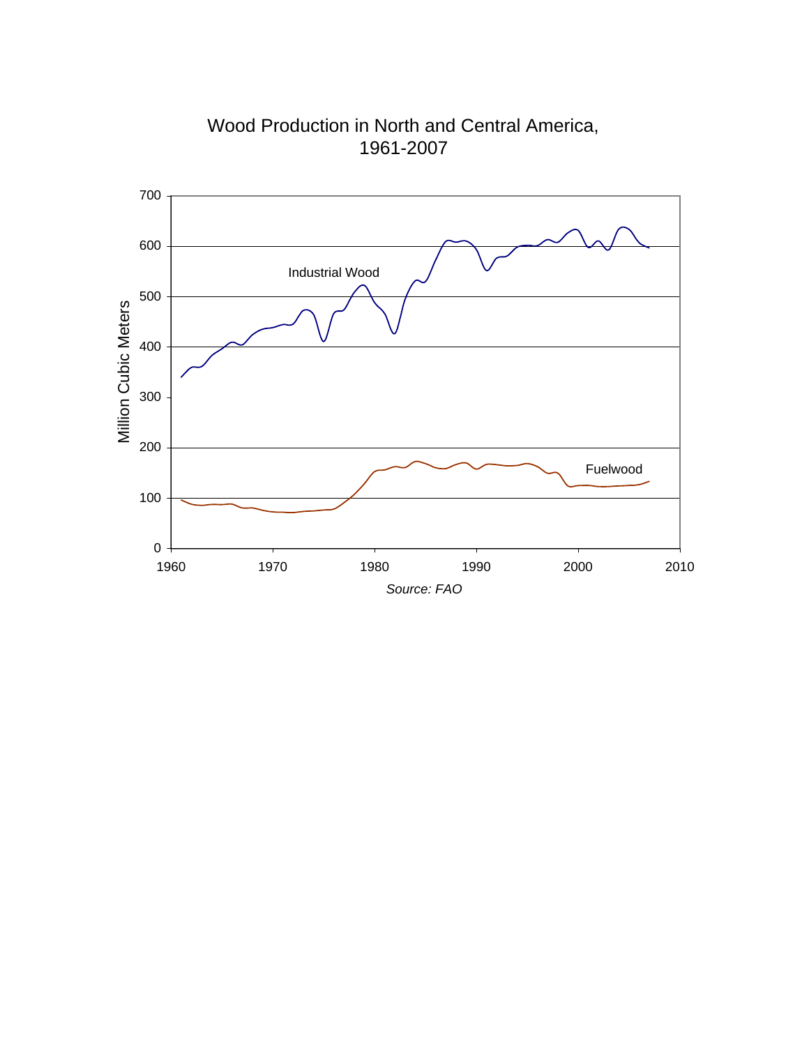

Wood Production in North and Central America, 1961-2007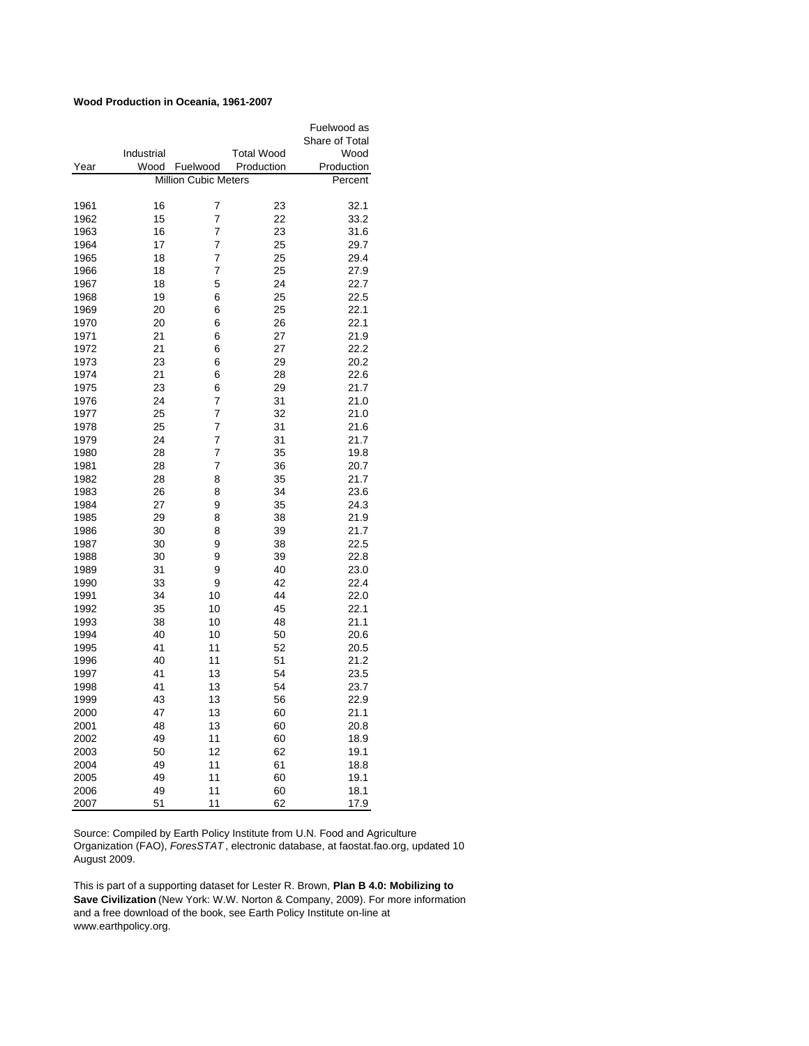## **Wood Production in Oceania, 1961-2007**

|      |            |                             |                   | Fuelwood as    |
|------|------------|-----------------------------|-------------------|----------------|
|      |            |                             |                   | Share of Total |
|      | Industrial |                             | <b>Total Wood</b> | Wood           |
| Year | Wood       | Fuelwood                    | Production        | Production     |
|      |            | <b>Million Cubic Meters</b> |                   | Percent        |
|      |            |                             |                   |                |
| 1961 | 16         | 7                           | 23                | 32.1           |
| 1962 | 15         | 7                           | 22                | 33.2           |
| 1963 | 16         | 7                           | 23                | 31.6           |
| 1964 | 17         | 7                           | 25                | 29.7           |
| 1965 | 18         | 7                           | 25                | 29.4           |
| 1966 | 18         | 7                           | 25                | 27.9           |
| 1967 | 18         | 5                           | 24                | 22.7           |
| 1968 | 19         | 6                           | 25                | 22.5           |
| 1969 | 20         | 6                           | 25                | 22.1           |
| 1970 | 20         | 6                           | 26                | 22.1           |
| 1971 | 21         | 6                           | 27                | 21.9           |
| 1972 | 21         | 6                           | 27                | 22.2           |
| 1973 | 23         | 6                           | 29                | 20.2           |
| 1974 | 21         | 6                           | 28                | 22.6           |
| 1975 | 23         | 6                           | 29                | 21.7           |
| 1976 | 24         | 7                           | 31                | 21.0           |
| 1977 | 25         | 7                           | 32                | 21.0           |
| 1978 | 25         | 7                           | 31                | 21.6           |
| 1979 | 24         | $\overline{7}$              | 31                | 21.7           |
| 1980 | 28         | 7                           | 35                | 19.8           |
| 1981 | 28         | 7                           | 36                | 20.7           |
| 1982 | 28         | 8                           | 35                | 21.7           |
| 1983 | 26         | 8                           | 34                | 23.6           |
| 1984 | 27         | 9                           | 35                | 24.3           |
| 1985 | 29         | 8                           | 38                | 21.9           |
| 1986 | 30         | 8                           | 39                | 21.7           |
| 1987 | 30         | 9                           | 38                | 22.5           |
| 1988 | 30         | 9                           | 39                | 22.8           |
| 1989 | 31         | 9                           | 40                | 23.0           |
| 1990 | 33         | 9                           | 42                | 22.4           |
| 1991 | 34         | 10                          | 44                | 22.0           |
| 1992 | 35         | 10                          | 45                | 22.1           |
| 1993 | 38         | 10                          | 48                | 21.1           |
| 1994 | 40         | 10                          | 50                | 20.6           |
| 1995 | 41         | 11                          | 52                | 20.5           |
| 1996 | 40         | 11                          | 51                | 21.2           |
| 1997 | 41         | 13                          | 54                | 23.5           |
| 1998 | 41         | 13                          | 54                | 23.7           |
| 1999 | 43         | 13                          | 56                | 22.9           |
| 2000 | 47         | 13                          | 60                | 21.1           |
| 2001 | 48         | 13                          | 60                | 20.8           |
| 2002 | 49         | 11                          | 60                | 18.9           |
| 2003 | 50         | 12                          | 62                | 19.1           |
| 2004 | 49         | 11                          | 61                | 18.8           |
| 2005 | 49         | 11                          | 60                | 19.1           |
| 2006 | 49         | 11                          | 60                | 18.1           |
| 2007 | 51         | 11                          | 62                | 17.9           |

Source: Compiled by Earth Policy Institute from U.N. Food and Agriculture Organization (FAO), *ForesSTAT* , electronic database, at faostat.fao.org, updated 10 August 2009.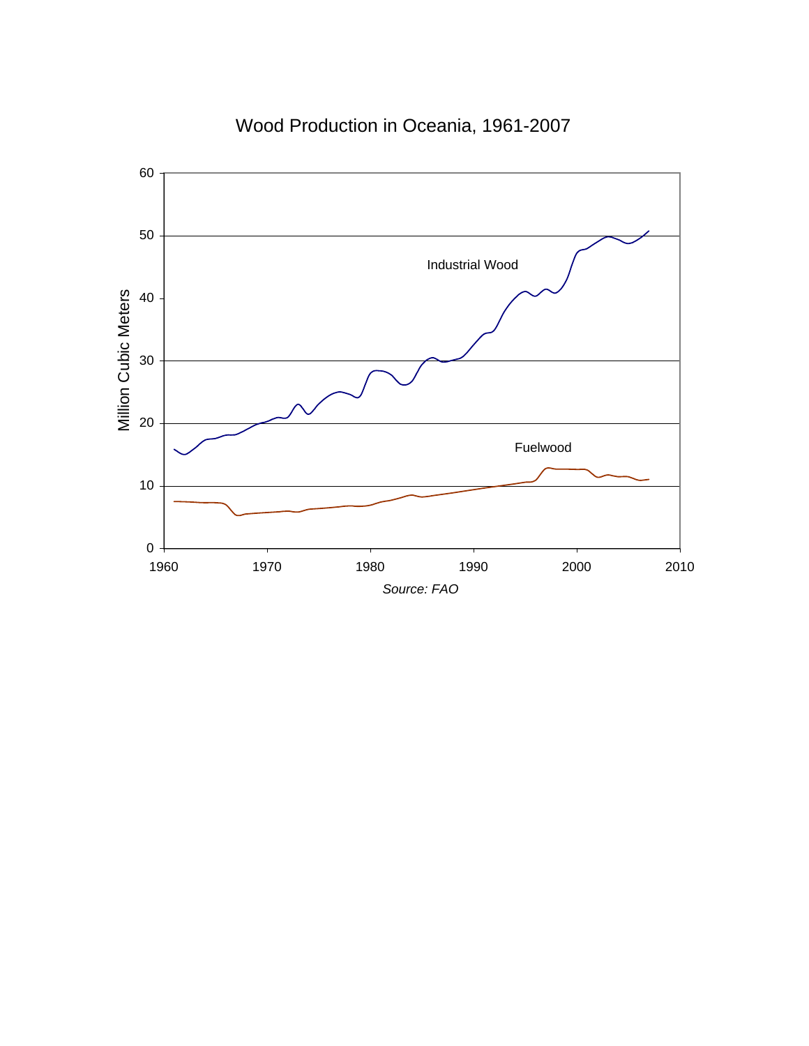

Wood Production in Oceania, 1961-2007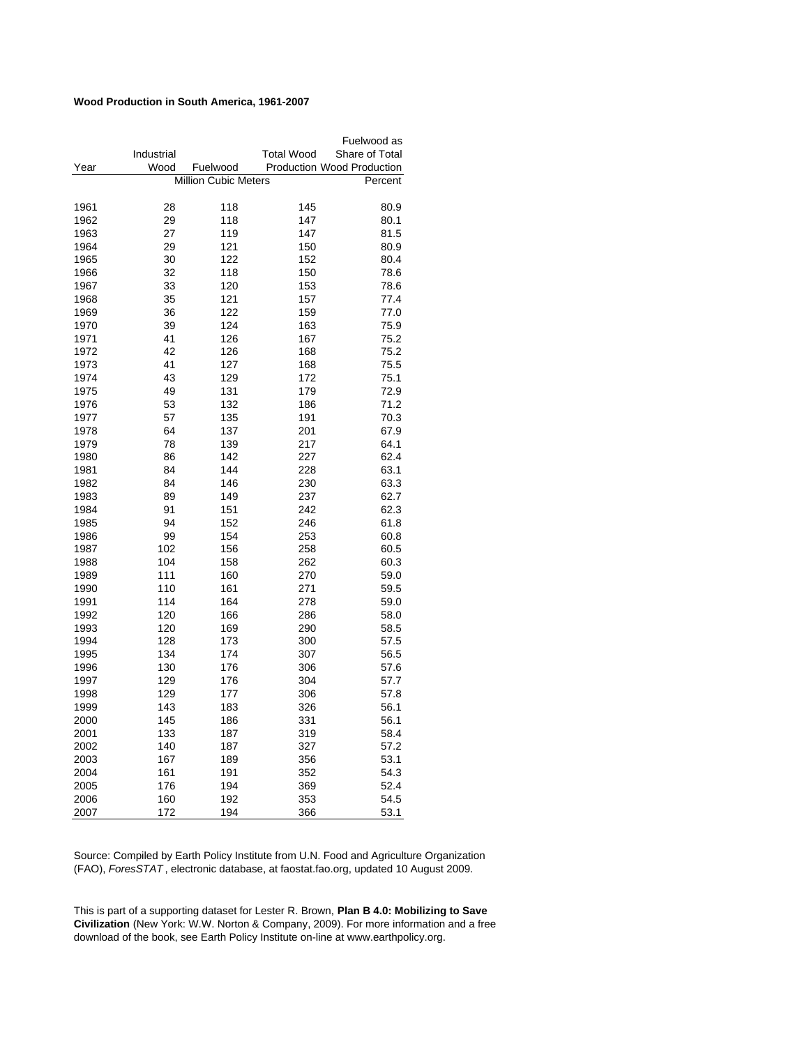## **Wood Production in South America, 1961-2007**

|              |            |                             |                                   | Fuelwood as    |
|--------------|------------|-----------------------------|-----------------------------------|----------------|
|              | Industrial |                             | <b>Total Wood</b>                 | Share of Total |
| Year         | Wood       | Fuelwood                    | <b>Production Wood Production</b> |                |
|              |            | <b>Million Cubic Meters</b> |                                   | Percent        |
|              |            |                             |                                   |                |
| 1961         | 28         | 118                         | 145                               | 80.9           |
| 1962         | 29         | 118                         | 147                               | 80.1           |
| 1963         | 27         | 119                         | 147                               | 81.5           |
| 1964         | 29         | 121                         | 150                               | 80.9           |
| 1965         | 30         | 122                         | 152                               | 80.4           |
| 1966         | 32         | 118                         | 150                               | 78.6           |
| 1967         | 33         | 120                         | 153                               | 78.6           |
| 1968         | 35         | 121                         | 157                               | 77.4           |
| 1969         | 36         | 122                         | 159                               | 77.0           |
| 1970         | 39         | 124                         | 163                               | 75.9           |
| 1971         | 41         | 126                         | 167                               | 75.2           |
| 1972         | 42         | 126                         | 168                               | 75.2           |
| 1973         | 41         | 127                         | 168                               | 75.5           |
| 1974         | 43         | 129                         | 172                               | 75.1           |
| 1975         | 49         | 131                         | 179                               | 72.9           |
| 1976         | 53         | 132                         | 186                               | 71.2           |
| 1977         | 57         | 135                         | 191                               | 70.3           |
| 1978         | 64         | 137                         | 201                               | 67.9           |
| 1979         | 78         | 139                         | 217                               | 64.1           |
| 1980         | 86         | 142                         | 227                               | 62.4           |
| 1981         | 84         | 144                         | 228                               | 63.1           |
| 1982         | 84         | 146                         | 230                               | 63.3           |
| 1983         | 89         | 149                         | 237                               | 62.7           |
| 1984         | 91         | 151                         | 242                               | 62.3           |
| 1985         | 94         | 152                         | 246                               | 61.8           |
| 1986         | 99         | 154                         | 253                               | 60.8           |
| 1987         | 102        | 156                         | 258                               | 60.5           |
| 1988         | 104        | 158                         | 262                               | 60.3           |
| 1989         | 111        | 160                         | 270                               | 59.0           |
| 1990         | 110        | 161                         | 271                               | 59.5           |
| 1991         | 114        | 164                         | 278                               | 59.0           |
| 1992         | 120        | 166                         | 286                               | 58.0           |
| 1993         | 120        | 169                         | 290                               | 58.5           |
| 1994         | 128        | 173                         | 300                               | 57.5           |
| 1995         | 134        | 174                         | 307                               | 56.5           |
| 1996         | 130        | 176                         | 306                               | 57.6           |
| 1997         | 129        | 176                         | 304                               | 57.7           |
| 1998         | 129        | 177                         | 306                               | 57.8           |
| 1999         | 143        | 183                         | 326                               | 56.1           |
|              |            |                             |                                   |                |
| 2000<br>2001 | 145<br>133 | 186<br>187                  | 331                               | 56.1           |
|              |            |                             | 319                               | 58.4           |
| 2002         | 140        | 187                         | 327                               | 57.2           |
| 2003         | 167        | 189                         | 356                               | 53.1           |
| 2004         | 161        | 191                         | 352                               | 54.3           |
| 2005         | 176        | 194                         | 369                               | 52.4           |
| 2006         | 160        | 192                         | 353                               | 54.5           |
| 2007         | 172        | 194                         | 366                               | 53.1           |

Source: Compiled by Earth Policy Institute from U.N. Food and Agriculture Organization (FAO), *ForesSTAT* , electronic database, at faostat.fao.org, updated 10 August 2009.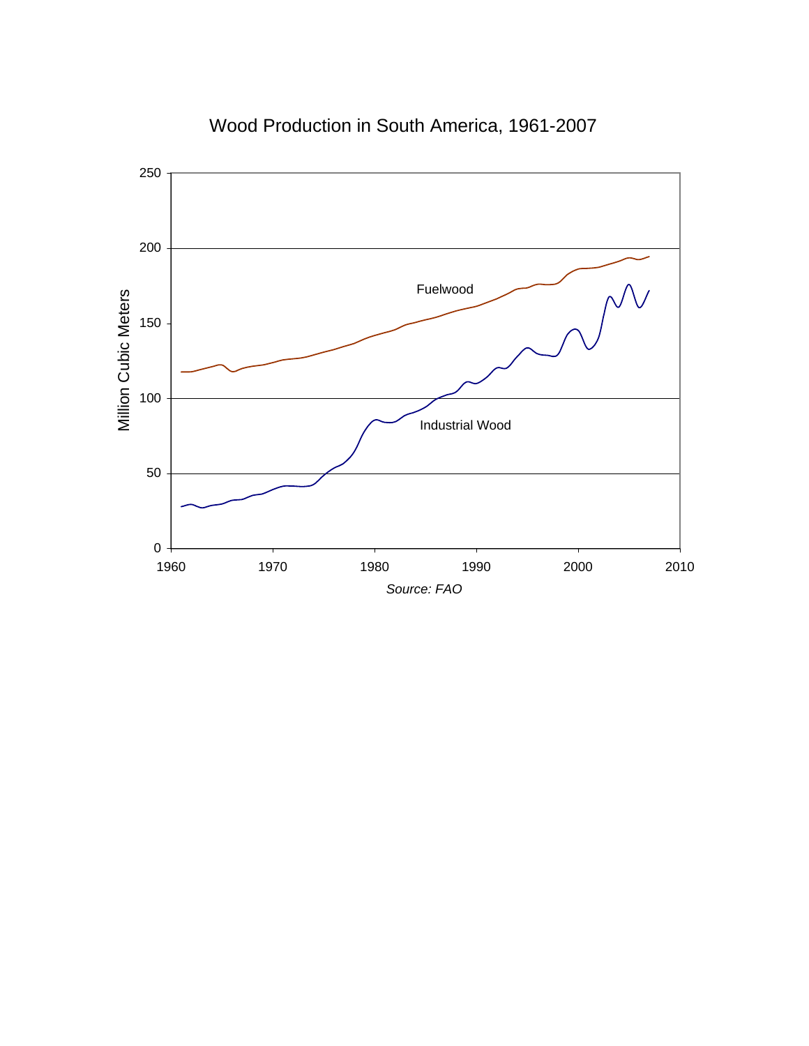

# Wood Production in South America, 1961-2007